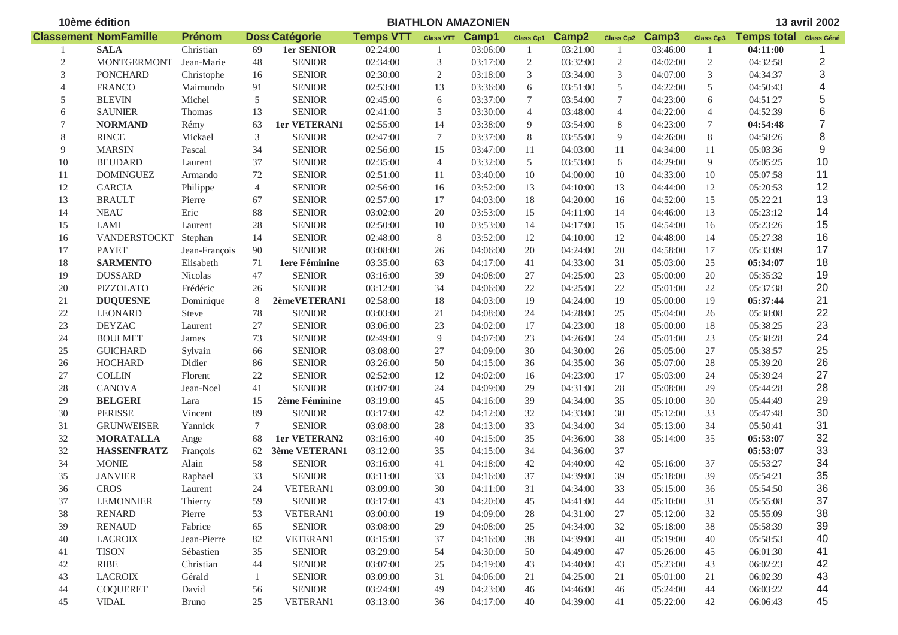| 10ème édition                |                    | 13 avril 2002<br><b>BIATHLON AMAZONIEN</b> |                       |               |                  |                 |          |                  |          |                  |          |                  |                        |                |
|------------------------------|--------------------|--------------------------------------------|-----------------------|---------------|------------------|-----------------|----------|------------------|----------|------------------|----------|------------------|------------------------|----------------|
| <b>Classement NomFamille</b> |                    | <b>Prénom</b>                              | <b>Doss Catégorie</b> |               | <b>Temps VTT</b> | Class VTT Camp1 |          | <b>Class Cp1</b> | Camp2    | <b>Class Cp2</b> | Camp3    | <b>Class Cp3</b> | Temps total Class Géné |                |
|                              | <b>SALA</b>        | Christian                                  | 69                    | 1er SENIOR    | 02:24:00         | -1              | 03:06:00 | -1               | 03:21:00 | 1                | 03:46:00 | 1                | 04:11:00               |                |
| $\mathfrak{2}$               | <b>MONTGERMONT</b> | Jean-Marie                                 | $48\,$                | <b>SENIOR</b> | 02:34:00         | 3               | 03:17:00 | 2                | 03:32:00 | 2                | 04:02:00 | $\overline{c}$   | 04:32:58               | $\overline{2}$ |
| 3                            | <b>PONCHARD</b>    | Christophe                                 | 16                    | <b>SENIOR</b> | 02:30:00         | 2               | 03:18:00 | 3                | 03:34:00 | 3                | 04:07:00 | 3                | 04:34:37               | 3              |
|                              | <b>FRANCO</b>      | Maimundo                                   | 91                    | <b>SENIOR</b> | 02:53:00         | 13              | 03:36:00 | 6                | 03:51:00 | 5                | 04:22:00 | 5                | 04:50:43               | 4              |
| 5                            | <b>BLEVIN</b>      | Michel                                     | $\sqrt{5}$            | <b>SENIOR</b> | 02:45:00         | 6               | 03:37:00 | 7                | 03:54:00 | $\tau$           | 04:23:00 | 6                | 04:51:27               | 5              |
| 6                            | <b>SAUNIER</b>     | Thomas                                     | 13                    | <b>SENIOR</b> | 02:41:00         | 5               | 03:30:00 | $\overline{4}$   | 03:48:00 | $\overline{4}$   | 04:22:00 | $\overline{4}$   | 04:52:39               | 6              |
| 7                            | <b>NORMAND</b>     | Rémy                                       | 63                    | 1er VETERAN1  | 02:55:00         | 14              | 03:38:00 | 9                | 03:54:00 | 8                | 04:23:00 | 7                | 04:54:48               | $\overline{7}$ |
| 8                            | <b>RINCE</b>       | Mickael                                    | 3                     | <b>SENIOR</b> | 02:47:00         | $\tau$          | 03:37:00 | 8                | 03:55:00 | 9                | 04:26:00 | 8                | 04:58:26               | 8              |
| 9                            | <b>MARSIN</b>      | Pascal                                     | 34                    | <b>SENIOR</b> | 02:56:00         | 15              | 03:47:00 | 11               | 04:03:00 | 11               | 04:34:00 | 11               | 05:03:36               | 9              |
| 10                           | <b>BEUDARD</b>     | Laurent                                    | 37                    | <b>SENIOR</b> | 02:35:00         | $\overline{4}$  | 03:32:00 | 5                | 03:53:00 | 6                | 04:29:00 | 9                | 05:05:25               | 10             |
| 11                           | <b>DOMINGUEZ</b>   | Armando                                    | 72                    | <b>SENIOR</b> | 02:51:00         | 11              | 03:40:00 | 10               | 04:00:00 | 10               | 04:33:00 | 10               | 05:07:58               | 11             |
| 12                           | <b>GARCIA</b>      | Philippe                                   | $\overline{4}$        | <b>SENIOR</b> | 02:56:00         | 16              | 03:52:00 | 13               | 04:10:00 | 13               | 04:44:00 | 12               | 05:20:53               | 12             |
| 13                           | <b>BRAULT</b>      | Pierre                                     | 67                    | <b>SENIOR</b> | 02:57:00         | 17              | 04:03:00 | 18               | 04:20:00 | 16               | 04:52:00 | 15               | 05:22:21               | 13             |
| 14                           | <b>NEAU</b>        | Eric                                       | $88\,$                | <b>SENIOR</b> | 03:02:00         | 20              | 03:53:00 | 15               | 04:11:00 | 14               | 04:46:00 | 13               | 05:23:12               | 14             |
| 15                           | LAMI               | Laurent                                    | 28                    | <b>SENIOR</b> | 02:50:00         | 10              | 03:53:00 | 14               | 04:17:00 | 15               | 04:54:00 | 16               | 05:23:26               | 15             |
| 16                           | VANDERSTOCKT       | Stephan                                    | 14                    | <b>SENIOR</b> | 02:48:00         | $\,8\,$         | 03:52:00 | 12               | 04:10:00 | 12               | 04:48:00 | 14               | 05:27:38               | 16             |
| 17                           | <b>PAYET</b>       | Jean-François                              | 90                    | <b>SENIOR</b> | 03:08:00         | $26\,$          | 04:06:00 | 20               | 04:24:00 | 20               | 04:58:00 | 17               | 05:33:09               | 17             |
| 18                           | <b>SARMENTO</b>    | Elisabeth                                  | 71                    | 1ere Féminine | 03:35:00         | 63              | 04:17:00 | 41               | 04:33:00 | 31               | 05:03:00 | $25\,$           | 05:34:07               | 18             |
| 19                           | <b>DUSSARD</b>     | Nicolas                                    | $47\,$                | <b>SENIOR</b> | 03:16:00         | 39              | 04:08:00 | $27\,$           | 04:25:00 | 23               | 05:00:00 | $20\,$           | 05:35:32               | 19             |
| $20\,$                       | <b>PIZZOLATO</b>   | Frédéric                                   | 26                    | <b>SENIOR</b> | 03:12:00         | 34              | 04:06:00 | 22               | 04:25:00 | 22               | 05:01:00 | $22\,$           | 05:37:38               | 20             |
| 21                           | <b>DUQUESNE</b>    | Dominique                                  | 8                     | 2èmeVETERAN1  | 02:58:00         | 18              | 04:03:00 | 19               | 04:24:00 | 19               | 05:00:00 | 19               | 05:37:44               | 21             |
| $22\,$                       | <b>LEONARD</b>     | <b>Steve</b>                               | $78\,$                | <b>SENIOR</b> | 03:03:00         | 21              | 04:08:00 | 24               | 04:28:00 | 25               | 05:04:00 | 26               | 05:38:08               | 22             |
| 23                           | <b>DEYZAC</b>      | Laurent                                    | 27                    | <b>SENIOR</b> | 03:06:00         | 23              | 04:02:00 | 17               | 04:23:00 | 18               | 05:00:00 | 18               | 05:38:25               | 23             |
| 24                           | <b>BOULMET</b>     | James                                      | 73                    | <b>SENIOR</b> | 02:49:00         | 9               | 04:07:00 | 23               | 04:26:00 | 24               | 05:01:00 | 23               | 05:38:28               | 24             |
| $25\,$                       | <b>GUICHARD</b>    | Sylvain                                    | 66                    | <b>SENIOR</b> | 03:08:00         | 27              | 04:09:00 | 30               | 04:30:00 | 26               | 05:05:00 | $27\,$           | 05:38:57               | 25             |
| 26                           | <b>HOCHARD</b>     | Didier                                     | 86                    | <b>SENIOR</b> | 03:26:00         | 50              | 04:15:00 | 36               | 04:35:00 | 36               | 05:07:00 | $28\,$           | 05:39:20               | 26             |
| 27                           | <b>COLLIN</b>      | Florent                                    | $22\,$                | <b>SENIOR</b> | 02:52:00         | 12              | 04:02:00 | 16               | 04:23:00 | 17               | 05:03:00 | 24               | 05:39:24               | 27             |
| 28                           | <b>CANOVA</b>      | Jean-Noel                                  | 41                    | <b>SENIOR</b> | 03:07:00         | 24              | 04:09:00 | 29               | 04:31:00 | 28               | 05:08:00 | 29               | 05:44:28               | 28             |
| 29                           | <b>BELGERI</b>     | Lara                                       | 15                    | 2ème Féminine | 03:19:00         | 45              | 04:16:00 | 39               | 04:34:00 | 35               | 05:10:00 | 30               | 05:44:49               | 29             |
| 30                           | <b>PERISSE</b>     | Vincent                                    | 89                    | <b>SENIOR</b> | 03:17:00         | 42              | 04:12:00 | 32               | 04:33:00 | 30               | 05:12:00 | 33               | 05:47:48               | 30             |
| 31                           | <b>GRUNWEISER</b>  | Yannick                                    | 7                     | <b>SENIOR</b> | 03:08:00         | $28\,$          | 04:13:00 | 33               | 04:34:00 | 34               | 05:13:00 | 34               | 05:50:41               | 31             |
| 32                           | <b>MORATALLA</b>   | Ange                                       | 68                    | 1er VETERAN2  | 03:16:00         | $40\,$          | 04:15:00 | 35               | 04:36:00 | 38               | 05:14:00 | 35               | 05:53:07               | 32             |
| 32                           | <b>HASSENFRATZ</b> | François                                   | 62                    | 3ème VETERAN1 | 03:12:00         | 35              | 04:15:00 | 34               | 04:36:00 | 37               |          |                  | 05:53:07               | 33             |
| 34                           | <b>MONIE</b>       | Alain                                      | 58                    | <b>SENIOR</b> | 03:16:00         | 41              | 04:18:00 | 42               | 04:40:00 | 42               | 05:16:00 | 37               | 05:53:27               | 34             |
| 35                           | <b>JANVIER</b>     | Raphael                                    | 33                    | <b>SENIOR</b> | 03:11:00         | 33              | 04:16:00 | 37               | 04:39:00 | 39               | 05:18:00 | 39               | 05:54:21               | 35             |
| 36                           | <b>CROS</b>        | Laurent                                    | 24                    | VETERAN1      | 03:09:00         | 30              | 04:11:00 | 31               | 04:34:00 | 33               | 05:15:00 | 36               | 05:54:50               | 36             |
| 37                           | <b>LEMONNIER</b>   | Thierry                                    | 59                    | <b>SENIOR</b> | 03:17:00         | 43              | 04:20:00 | 45               | 04:41:00 | 44               | 05:10:00 | 31               | 05:55:08               | 37             |
| 38                           | <b>RENARD</b>      | Pierre                                     | 53                    | VETERAN1      | 03:00:00         | 19              | 04:09:00 | 28               | 04:31:00 | 27               | 05:12:00 | 32               | 05:55:09               | 38             |
| 39                           | <b>RENAUD</b>      | Fabrice                                    | 65                    | <b>SENIOR</b> | 03:08:00         | 29              | 04:08:00 | 25               | 04:34:00 | 32               | 05:18:00 | 38               | 05:58:39               | 39             |
| 40                           | <b>LACROIX</b>     | Jean-Pierre                                | 82                    | VETERAN1      | 03:15:00         | 37              | 04:16:00 | 38               | 04:39:00 | 40               | 05:19:00 | 40               | 05:58:53               | 40             |
| 41                           | <b>TISON</b>       | Sébastien                                  | 35                    | <b>SENIOR</b> | 03:29:00         | 54              | 04:30:00 | 50               | 04:49:00 | 47               | 05:26:00 | 45               | 06:01:30               | 41             |
| 42                           | RIBE               | Christian                                  | 44                    | <b>SENIOR</b> | 03:07:00         | 25              | 04:19:00 | 43               | 04:40:00 | 43               | 05:23:00 | 43               | 06:02:23               | 42             |
| 43                           | <b>LACROIX</b>     | Gérald                                     | $\mathbf{1}$          | <b>SENIOR</b> | 03:09:00         | 31              | 04:06:00 | 21               | 04:25:00 | 21               | 05:01:00 | 21               | 06:02:39               | 43             |
| $44\,$                       | <b>COQUERET</b>    | David                                      | 56                    | <b>SENIOR</b> | 03:24:00         | 49              | 04:23:00 | 46               | 04:46:00 | 46               | 05:24:00 | $44$             | 06:03:22               | 44             |
| 45                           | <b>VIDAL</b>       | <b>Bruno</b>                               | 25                    | VETERAN1      | 03:13:00         | 36              | 04:17:00 | 40               | 04:39:00 | 41               | 05:22:00 | 42               | 06:06:43               | 45             |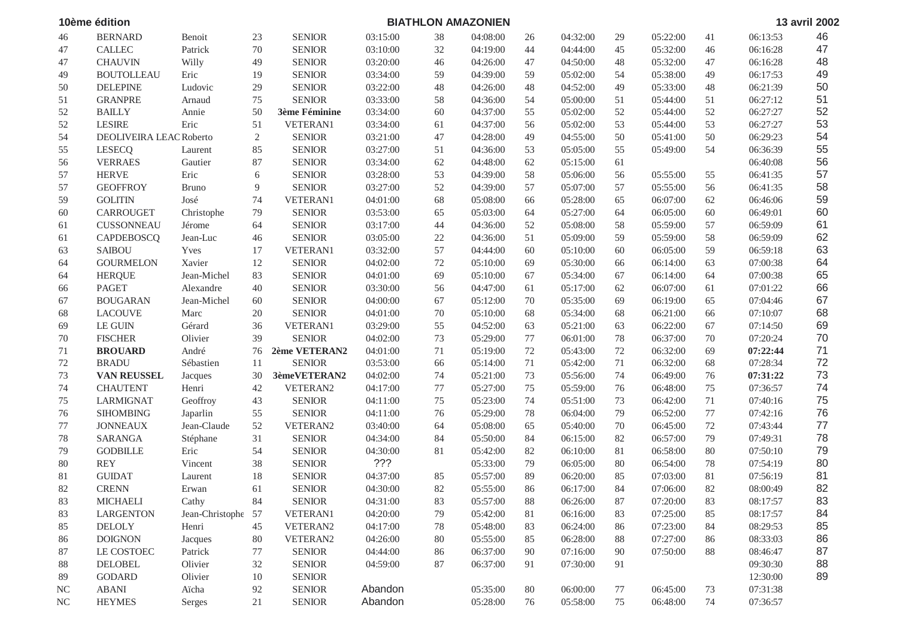|          | 10ème édition           |                                            |        | <b>BIATHLON AMAZONIEN</b> |          |    |          |        |          |    |          |        | 13 avril 2002 |    |  |
|----------|-------------------------|--------------------------------------------|--------|---------------------------|----------|----|----------|--------|----------|----|----------|--------|---------------|----|--|
| 46       | <b>BERNARD</b>          | Benoit                                     | 23     | <b>SENIOR</b>             | 03:15:00 | 38 | 04:08:00 | 26     | 04:32:00 | 29 | 05:22:00 | 41     | 06:13:53      | 46 |  |
| 47       | <b>CALLEC</b>           | Patrick                                    | 70     | <b>SENIOR</b>             | 03:10:00 | 32 | 04:19:00 | 44     | 04:44:00 | 45 | 05:32:00 | 46     | 06:16:28      | 47 |  |
| 47       | <b>CHAUVIN</b>          | Willy                                      | 49     | <b>SENIOR</b>             | 03:20:00 | 46 | 04:26:00 | 47     | 04:50:00 | 48 | 05:32:00 | 47     | 06:16:28      | 48 |  |
| 49       | <b>BOUTOLLEAU</b>       | Eric                                       | 19     | <b>SENIOR</b>             | 03:34:00 | 59 | 04:39:00 | 59     | 05:02:00 | 54 | 05:38:00 | 49     | 06:17:53      | 49 |  |
| 50       | <b>DELEPINE</b>         | Ludovic                                    | 29     | <b>SENIOR</b>             | 03:22:00 | 48 | 04:26:00 | 48     | 04:52:00 | 49 | 05:33:00 | 48     | 06:21:39      | 50 |  |
| 51       | <b>GRANPRE</b>          | Arnaud                                     | 75     | <b>SENIOR</b>             | 03:33:00 | 58 | 04:36:00 | 54     | 05:00:00 | 51 | 05:44:00 | 51     | 06:27:12      | 51 |  |
| 52       | <b>BAILLY</b>           | Annie                                      | 50     | <b>3ème Féminine</b>      | 03:34:00 | 60 | 04:37:00 | 55     | 05:02:00 | 52 | 05:44:00 | 52     | 06:27:27      | 52 |  |
| 52       | <b>LESIRE</b>           | Eric                                       | 51     | VETERAN1                  | 03:34:00 | 61 | 04:37:00 | 56     | 05:02:00 | 53 | 05:44:00 | 53     | 06:27:27      | 53 |  |
| 54       | DEOLIVEIRA LEAC Roberto |                                            | 2      | <b>SENIOR</b>             | 03:21:00 | 47 | 04:28:00 | 49     | 04:55:00 | 50 | 05:41:00 | 50     | 06:29:23      | 54 |  |
| 55       | <b>LESECQ</b>           | Laurent                                    | 85     | <b>SENIOR</b>             | 03:27:00 | 51 | 04:36:00 | 53     | 05:05:00 | 55 | 05:49:00 | 54     | 06:36:39      | 55 |  |
| 56       | <b>VERRAES</b>          | Gautier                                    | 87     | <b>SENIOR</b>             | 03:34:00 | 62 | 04:48:00 | 62     | 05:15:00 | 61 |          |        | 06:40:08      | 56 |  |
| 57       | <b>HERVE</b>            | Eric                                       | 6      | <b>SENIOR</b>             | 03:28:00 | 53 | 04:39:00 | 58     | 05:06:00 | 56 | 05:55:00 | 55     | 06:41:35      | 57 |  |
| 57       | <b>GEOFFROY</b>         | <b>Bruno</b>                               | 9      | <b>SENIOR</b>             | 03:27:00 | 52 | 04:39:00 | 57     | 05:07:00 | 57 | 05:55:00 | 56     | 06:41:35      | 58 |  |
| 59       | <b>GOLITIN</b>          | $\operatorname{Jos}\nolimits\acute{\rm e}$ | 74     | <b>VETERAN1</b>           | 04:01:00 | 68 | 05:08:00 | 66     | 05:28:00 | 65 | 06:07:00 | 62     | 06:46:06      | 59 |  |
| 60       | <b>CARROUGET</b>        | Christophe                                 | 79     | <b>SENIOR</b>             | 03:53:00 | 65 | 05:03:00 | 64     | 05:27:00 | 64 | 06:05:00 | 60     | 06:49:01      | 60 |  |
| 61       | CUSSONNEAU              | Jérome                                     | 64     | <b>SENIOR</b>             | 03:17:00 | 44 | 04:36:00 | 52     | 05:08:00 | 58 | 05:59:00 | 57     | 06:59:09      | 61 |  |
| 61       | CAPDEBOSCQ              | Jean-Luc                                   | 46     | <b>SENIOR</b>             | 03:05:00 | 22 | 04:36:00 | 51     | 05:09:00 | 59 | 05:59:00 | 58     | 06:59:09      | 62 |  |
| 63       | <b>SAIBOU</b>           | Yves                                       | 17     | VETERAN1                  | 03:32:00 | 57 | 04:44:00 | 60     | 05:10:00 | 60 | 06:05:00 | 59     | 06:59:18      | 63 |  |
| 64       | <b>GOURMELON</b>        | Xavier                                     | 12     | <b>SENIOR</b>             | 04:02:00 | 72 | 05:10:00 | 69     | 05:30:00 | 66 | 06:14:00 | 63     | 07:00:38      | 64 |  |
| 64       | <b>HERQUE</b>           | Jean-Michel                                | 83     | <b>SENIOR</b>             | 04:01:00 | 69 | 05:10:00 | 67     | 05:34:00 | 67 | 06:14:00 | 64     | 07:00:38      | 65 |  |
| 66       | <b>PAGET</b>            | Alexandre                                  | 40     | <b>SENIOR</b>             | 03:30:00 | 56 | 04:47:00 | 61     | 05:17:00 | 62 | 06:07:00 | 61     | 07:01:22      | 66 |  |
| 67       | <b>BOUGARAN</b>         | Jean-Michel                                | 60     | <b>SENIOR</b>             | 04:00:00 | 67 | 05:12:00 | 70     | 05:35:00 | 69 | 06:19:00 | 65     | 07:04:46      | 67 |  |
| 68       | <b>LACOUVE</b>          | Marc                                       | 20     | <b>SENIOR</b>             | 04:01:00 | 70 | 05:10:00 | 68     | 05:34:00 | 68 | 06:21:00 | 66     | 07:10:07      | 68 |  |
| 69       | LE GUIN                 | Gérard                                     | 36     | <b>VETERAN1</b>           | 03:29:00 | 55 | 04:52:00 | 63     | 05:21:00 | 63 | 06:22:00 | 67     | 07:14:50      | 69 |  |
| 70       | <b>FISCHER</b>          | Olivier                                    | 39     | <b>SENIOR</b>             | 04:02:00 | 73 | 05:29:00 | 77     | 06:01:00 | 78 | 06:37:00 | 70     | 07:20:24      | 70 |  |
| 71       | <b>BROUARD</b>          | André                                      | 76     | 2ème VETERAN2             | 04:01:00 | 71 | 05:19:00 | 72     | 05:43:00 | 72 | 06:32:00 | 69     | 07:22:44      | 71 |  |
| 72       | <b>BRADU</b>            | Sébastien                                  | 11     | <b>SENIOR</b>             | 03:53:00 | 66 | 05:14:00 | 71     | 05:42:00 | 71 | 06:32:00 | 68     | 07:28:34      | 72 |  |
| 73       | VAN REUSSEL             | Jacques                                    | 30     | 3èmeVETERAN2              | 04:02:00 | 74 | 05:21:00 | 73     | 05:56:00 | 74 | 06:49:00 | 76     | 07:31:22      | 73 |  |
| 74       | <b>CHAUTENT</b>         | Henri                                      | 42     | VETERAN2                  | 04:17:00 | 77 | 05:27:00 | 75     | 05:59:00 | 76 | 06:48:00 | 75     | 07:36:57      | 74 |  |
| 75       | <b>LARMIGNAT</b>        | Geoffroy                                   | 43     | <b>SENIOR</b>             | 04:11:00 | 75 | 05:23:00 | 74     | 05:51:00 | 73 | 06:42:00 | $71\,$ | 07:40:16      | 75 |  |
| 76       | <b>SIHOMBING</b>        | Japarlin                                   | 55     | <b>SENIOR</b>             | 04:11:00 | 76 | 05:29:00 | 78     | 06:04:00 | 79 | 06:52:00 | $77\,$ | 07:42:16      | 76 |  |
| 77       | <b>JONNEAUX</b>         | Jean-Claude                                | 52     | VETERAN2                  | 03:40:00 | 64 | 05:08:00 | 65     | 05:40:00 | 70 | 06:45:00 | 72     | 07:43:44      | 77 |  |
| 78       | <b>SARANGA</b>          | Stéphane                                   | 31     | <b>SENIOR</b>             | 04:34:00 | 84 | 05:50:00 | 84     | 06:15:00 | 82 | 06:57:00 | 79     | 07:49:31      | 78 |  |
| 79       | <b>GODBILLE</b>         | Eric                                       | 54     | <b>SENIOR</b>             | 04:30:00 | 81 | 05:42:00 | 82     | 06:10:00 | 81 | 06:58:00 | $80\,$ | 07:50:10      | 79 |  |
| 80       | <b>REY</b>              | Vincent                                    | $38\,$ | <b>SENIOR</b>             | ???      |    | 05:33:00 | 79     | 06:05:00 | 80 | 06:54:00 | 78     | 07:54:19      | 80 |  |
| 81       | <b>GUIDAT</b>           | Laurent                                    | 18     | <b>SENIOR</b>             | 04:37:00 | 85 | 05:57:00 | 89     | 06:20:00 | 85 | 07:03:00 | $81\,$ | 07:56:19      | 81 |  |
| 82       | <b>CRENN</b>            | Erwan                                      | 61     | <b>SENIOR</b>             | 04:30:00 | 82 | 05:55:00 | 86     | 06:17:00 | 84 | 07:06:00 | 82     | 08:00:49      | 82 |  |
| 83       | <b>MICHAELI</b>         | Cathy                                      | 84     | <b>SENIOR</b>             | 04:31:00 | 83 | 05:57:00 | 88     | 06:26:00 | 87 | 07:20:00 | 83     | 08:17:57      | 83 |  |
| 83       | <b>LARGENTON</b>        | Jean-Christophe                            | 57     | VETERAN1                  | 04:20:00 | 79 | 05:42:00 | 81     | 06:16:00 | 83 | 07:25:00 | 85     | 08:17:57      | 84 |  |
| 85       | <b>DELOLY</b>           | Henri                                      | $45\,$ | VETERAN2                  | 04:17:00 | 78 | 05:48:00 | 83     | 06:24:00 | 86 | 07:23:00 | 84     | 08:29:53      | 85 |  |
| 86       | <b>DOIGNON</b>          | Jacques                                    | 80     | VETERAN2                  | 04:26:00 | 80 | 05:55:00 | 85     | 06:28:00 | 88 | 07:27:00 | 86     | 08:33:03      | 86 |  |
| 87       | LE COSTOEC              | Patrick                                    | $77\,$ | <b>SENIOR</b>             | 04:44:00 | 86 | 06:37:00 | 90     | 07:16:00 | 90 | 07:50:00 | 88     | 08:46:47      | 87 |  |
| 88       | <b>DELOBEL</b>          | Olivier                                    | $32\,$ | <b>SENIOR</b>             | 04:59:00 | 87 | 06:37:00 | 91     | 07:30:00 | 91 |          |        | 09:30:30      | 88 |  |
| 89       | <b>GODARD</b>           | Olivier                                    | $10\,$ | <b>SENIOR</b>             |          |    |          |        |          |    |          |        | 12:30:00      | 89 |  |
| $\rm NC$ | <b>ABANI</b>            | Aïcha                                      | 92     | <b>SENIOR</b>             | Abandon  |    | 05:35:00 | $80\,$ | 06:00:00 | 77 | 06:45:00 | 73     | 07:31:38      |    |  |
| NC       | <b>HEYMES</b>           | Serges                                     | 21     | <b>SENIOR</b>             | Abandon  |    | 05:28:00 | 76     | 05:58:00 | 75 | 06:48:00 | 74     | 07:36:57      |    |  |